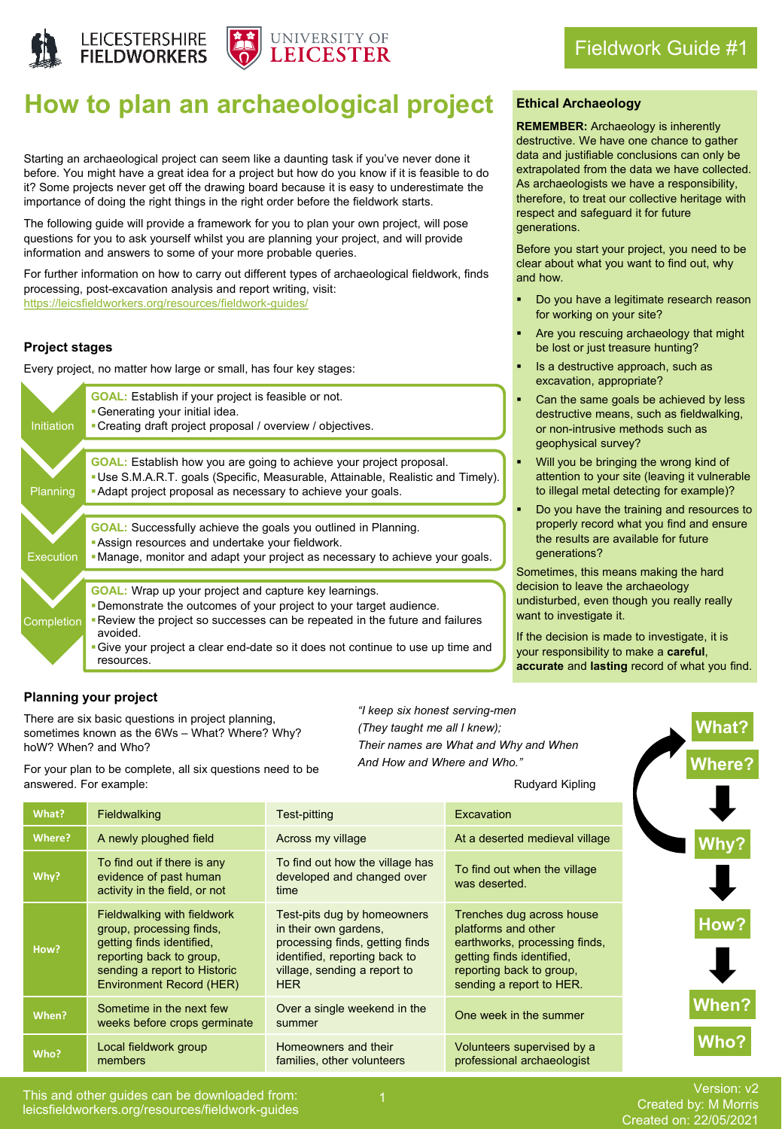



# **How to plan an archaeological project**

Starting an archaeological project can seem like a daunting task if you've never done it before. You might have a great idea for a project but how do you know if it is feasible to do it? Some projects never get off the drawing board because it is easy to underestimate the importance of doing the right things in the right order before the fieldwork starts.

The following guide will provide a framework for you to plan your own project, will pose questions for you to ask yourself whilst you are planning your project, and will provide information and answers to some of your more probable queries.

For further information on how to carry out different types of archaeological fieldwork, finds processing, post-excavation analysis and report writing, visit: <https://leicsfieldworkers.org/resources/fieldwork-guides/>

# **Project stages**

Every project, no matter how large or small, has four key stages:



# **Ethical Archaeology**

**REMEMBER:** Archaeology is inherently destructive. We have one chance to gather data and justifiable conclusions can only be extrapolated from the data we have collected. As archaeologists we have a responsibility, therefore, to treat our collective heritage with respect and safeguard it for future generations.

Before you start your project, you need to be clear about what you want to find out, why and how.

- Do you have a legitimate research reason for working on your site?
- Are you rescuing archaeology that might be lost or just treasure hunting?
- Is a destructive approach, such as excavation, appropriate?
- Can the same goals be achieved by less destructive means, such as fieldwalking, or non-intrusive methods such as geophysical survey?
- Will you be bringing the wrong kind of attention to your site (leaving it vulnerable to illegal metal detecting for example)?
- Do you have the training and resources to properly record what you find and ensure the results are available for future generations?

Sometimes, this means making the hard decision to leave the archaeology undisturbed, even though you really really want to investigate it.

If the decision is made to investigate, it is your responsibility to make a **careful**, **accurate** and **lasting** record of what you find.

**What?**

**Where?**

# **Planning your project**

There are six basic questions in project planning, sometimes known as the 6Ws – What? Where? Why? hoW? When? and Who?

*"I keep six honest serving-men (They taught me all I knew); Their names are What and Why and When And How and Where and Who."*

For your plan to be complete, all six questions need to be answered. For example:

| Rudyard Kipling |  |
|-----------------|--|
|                 |  |

| What?  | Fieldwalking                                                                                                                                                                        | Test-pitting                                                                                                                                                           | Excavation                                                                                                                                                             |
|--------|-------------------------------------------------------------------------------------------------------------------------------------------------------------------------------------|------------------------------------------------------------------------------------------------------------------------------------------------------------------------|------------------------------------------------------------------------------------------------------------------------------------------------------------------------|
| Where? | A newly ploughed field                                                                                                                                                              | Across my village                                                                                                                                                      | At a deserted medieval village                                                                                                                                         |
| Why?   | To find out if there is any<br>evidence of past human<br>activity in the field, or not                                                                                              | To find out how the village has<br>developed and changed over<br>time                                                                                                  | To find out when the village<br>was deserted.                                                                                                                          |
| How?   | Fieldwalking with fieldwork<br>group, processing finds,<br>getting finds identified,<br>reporting back to group,<br>sending a report to Historic<br><b>Environment Record (HER)</b> | Test-pits dug by homeowners<br>in their own gardens,<br>processing finds, getting finds<br>identified, reporting back to<br>village, sending a report to<br><b>HER</b> | Trenches dug across house<br>platforms and other<br>earthworks, processing finds,<br>getting finds identified.<br>reporting back to group,<br>sending a report to HER. |
| When?  | Sometime in the next few<br>weeks before crops germinate                                                                                                                            | Over a single weekend in the<br>summer                                                                                                                                 | One week in the summer                                                                                                                                                 |
| Who?   | Local fieldwork group<br>members                                                                                                                                                    | Homeowners and their<br>families, other volunteers                                                                                                                     | Volunteers supervised by a<br>professional archaeologist                                                                                                               |

Version: v2 Created by: M Morris Created on: 22/05/2021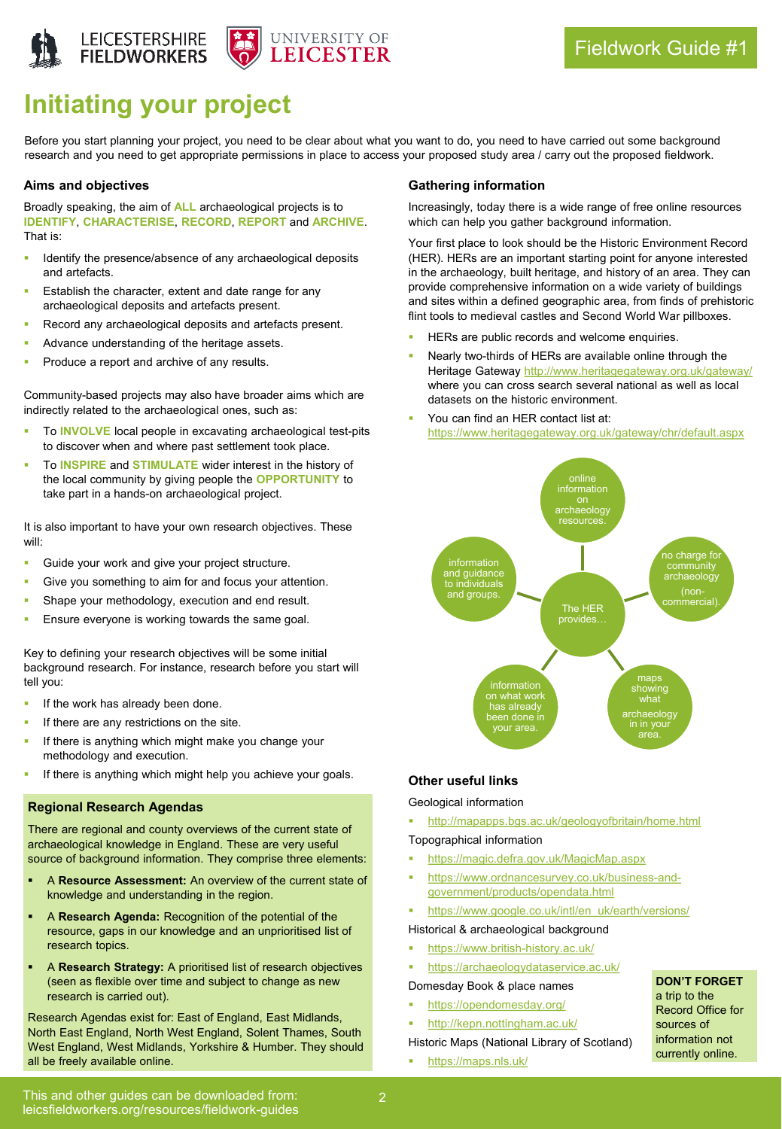



# **Initiating your project**

Before you start planning your project, you need to be clear about what you want to do, you need to have carried out some background research and you need to get appropriate permissions in place to access your proposed study area / carry out the proposed fieldwork.

#### **Aims and objectives**

Broadly speaking, the aim of **ALL** archaeological projects is to **IDENTIFY**, **CHARACTERISE**, **RECORD**, **REPORT** and **ARCHIVE**. That is:

- Identify the presence/absence of any archaeological deposits and artefacts.
- Establish the character, extent and date range for any archaeological deposits and artefacts present.
- Record any archaeological deposits and artefacts present.
- Advance understanding of the heritage assets.
- Produce a report and archive of any results.

Community-based projects may also have broader aims which are indirectly related to the archaeological ones, such as:

- To **INVOLVE** local people in excavating archaeological test-pits to discover when and where past settlement took place.
- To **INSPIRE** and **STIMULATE** wider interest in the history of the local community by giving people the **OPPORTUNITY** to take part in a hands-on archaeological project.

It is also important to have your own research objectives. These will:

- Guide your work and give your project structure.
- Give you something to aim for and focus your attention.
- Shape your methodology, execution and end result.
- Ensure everyone is working towards the same goal.

Key to defining your research objectives will be some initial background research. For instance, research before you start will tell you:

- If the work has already been done.
- If there are any restrictions on the site.
- If there is anything which might make you change your methodology and execution.
- If there is anything which might help you achieve your goals.

## **Regional Research Agendas**

There are regional and county overviews of the current state of archaeological knowledge in England. These are very useful source of background information. They comprise three elements:

- A Resource Assessment: An overview of the current state of knowledge and understanding in the region.
- A Research Agenda: Recognition of the potential of the resource, gaps in our knowledge and an unprioritised list of research topics.
- A Research Strategy: A prioritised list of research objectives (seen as flexible over time and subject to change as new research is carried out).

Research Agendas exist for: East of England, East Midlands, North East England, North West England, Solent Thames, South West England, West Midlands, Yorkshire & Humber. They should all be freely available online.

#### **Gathering information**

Increasingly, today there is a wide range of free online resources which can help you gather background information.

Your first place to look should be the Historic Environment Record (HER). HERs are an important starting point for anyone interested in the archaeology, built heritage, and history of an area. They can provide comprehensive information on a wide variety of buildings and sites within a defined geographic area, from finds of prehistoric flint tools to medieval castles and Second World War pillboxes.

- HERs are public records and welcome enquiries.
- Nearly two-thirds of HERs are available online through the Heritage Gateway <http://www.heritagegateway.org.uk/gateway/> where you can cross search several national as well as local datasets on the historic environment.
- You can find an HER contact list at: <https://www.heritagegateway.org.uk/gateway/chr/default.aspx>



## **Other useful links**

Geological information

▪ <http://mapapps.bgs.ac.uk/geologyofbritain/home.html>

#### Topographical information

- <https://magic.defra.gov.uk/MagicMap.aspx>
- [https://www.ordnancesurvey.co.uk/business-and](https://www.ordnancesurvey.co.uk/business-and-government/products/opendata.html)government/products/opendata.html
- [https://www.google.co.uk/intl/en\\_uk/earth/versions/](https://www.google.co.uk/intl/en_uk/earth/versions/)

Historical & archaeological background

- <https://www.british-history.ac.uk/>
- <https://archaeologydataservice.ac.uk/>

Domesday Book & place names

- <https://opendomesday.org/>
- <http://kepn.nottingham.ac.uk/>

Historic Maps (National Library of Scotland)

<https://maps.nls.uk/>

currently online.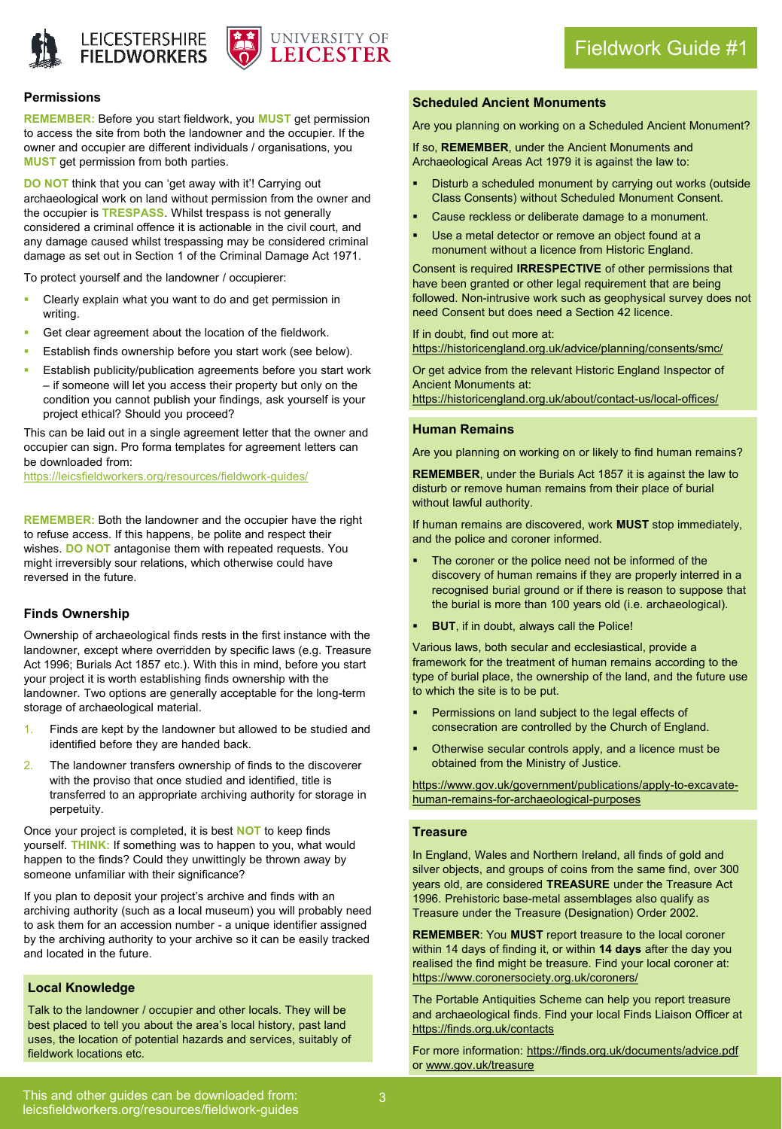



#### **Permissions**

**REMEMBER:** Before you start fieldwork, you **MUST** get permission to access the site from both the landowner and the occupier. If the owner and occupier are different individuals / organisations, you **MUST** get permission from both parties.

**DO NOT** think that you can 'get away with it'! Carrying out archaeological work on land without permission from the owner and the occupier is **TRESPASS**. Whilst trespass is not generally considered a criminal offence it is actionable in the civil court, and any damage caused whilst trespassing may be considered criminal damage as set out in Section 1 of the Criminal Damage Act 1971.

To protect yourself and the landowner / occupierer:

- Clearly explain what you want to do and get permission in writing.
- Get clear agreement about the location of the fieldwork.
- Establish finds ownership before you start work (see below).
- Establish publicity/publication agreements before you start work – if someone will let you access their property but only on the condition you cannot publish your findings, ask yourself is your project ethical? Should you proceed?

This can be laid out in a single agreement letter that the owner and occupier can sign. Pro forma templates for agreement letters can be downloaded from:

<https://leicsfieldworkers.org/resources/fieldwork-guides/>

**REMEMBER:** Both the landowner and the occupier have the right to refuse access. If this happens, be polite and respect their wishes. **DO NOT** antagonise them with repeated requests. You might irreversibly sour relations, which otherwise could have reversed in the future.

#### **Finds Ownership**

Ownership of archaeological finds rests in the first instance with the landowner, except where overridden by specific laws (e.g. Treasure Act 1996; Burials Act 1857 etc.). With this in mind, before you start your project it is worth establishing finds ownership with the landowner. Two options are generally acceptable for the long-term storage of archaeological material.

- 1. Finds are kept by the landowner but allowed to be studied and identified before they are handed back.
- 2. The landowner transfers ownership of finds to the discoverer with the proviso that once studied and identified, title is transferred to an appropriate archiving authority for storage in perpetuity.

Once your project is completed, it is best **NOT** to keep finds yourself. **THINK:** If something was to happen to you, what would happen to the finds? Could they unwittingly be thrown away by someone unfamiliar with their significance?

If you plan to deposit your project's archive and finds with an archiving authority (such as a local museum) you will probably need to ask them for an accession number - a unique identifier assigned by the archiving authority to your archive so it can be easily tracked and located in the future.

### **Local Knowledge**

Talk to the landowner / occupier and other locals. They will be best placed to tell you about the area's local history, past land uses, the location of potential hazards and services, suitably of fieldwork locations etc.

### **Scheduled Ancient Monuments**

Are you planning on working on a Scheduled Ancient Monument?

If so, **REMEMBER**, under the Ancient Monuments and Archaeological Areas Act 1979 it is against the law to:

- Disturb a scheduled monument by carrying out works (outside Class Consents) without Scheduled Monument Consent.
- Cause reckless or deliberate damage to a monument.
- Use a metal detector or remove an object found at a monument without a licence from Historic England.

Consent is required **IRRESPECTIVE** of other permissions that have been granted or other legal requirement that are being followed. Non-intrusive work such as geophysical survey does not need Consent but does need a Section 42 licence.

If in doubt, find out more at:

<https://historicengland.org.uk/advice/planning/consents/smc/>

Or get advice from the relevant Historic England Inspector of Ancient Monuments at: <https://historicengland.org.uk/about/contact-us/local-offices/>

#### **Human Remains**

Are you planning on working on or likely to find human remains?

**REMEMBER**, under the Burials Act 1857 it is against the law to disturb or remove human remains from their place of burial without lawful authority.

If human remains are discovered, work **MUST** stop immediately, and the police and coroner informed.

- The coroner or the police need not be informed of the discovery of human remains if they are properly interred in a recognised burial ground or if there is reason to suppose that the burial is more than 100 years old (i.e. archaeological).
- **BUT**, if in doubt, always call the Police!

Various laws, both secular and ecclesiastical, provide a framework for the treatment of human remains according to the type of burial place, the ownership of the land, and the future use to which the site is to be put.

- Permissions on land subject to the legal effects of consecration are controlled by the Church of England.
- Otherwise secular controls apply, and a licence must be obtained from the Ministry of Justice.

[https://www.gov.uk/government/publications/apply-to-excavate](https://www.gov.uk/government/publications/apply-to-excavate-human-remains-for-archaeological-purposes)human-remains-for-archaeological-purposes

#### **Treasure**

In England, Wales and Northern Ireland, all finds of gold and silver objects, and groups of coins from the same find, over 300 years old, are considered **TREASURE** under the Treasure Act 1996. Prehistoric base-metal assemblages also qualify as Treasure under the Treasure (Designation) Order 2002.

**REMEMBER**: You **MUST** report treasure to the local coroner within 14 days of finding it, or within **14 days** after the day you realised the find might be treasure. Find your local coroner at: <https://www.coronersociety.org.uk/coroners/>

The Portable Antiquities Scheme can help you report treasure and archaeological finds. Find your local Finds Liaison Officer at <https://finds.org.uk/contacts>

For more information: <https://finds.org.uk/documents/advice.pdf> or [www.gov.uk/treasure](http://www.gov.uk/treasure)